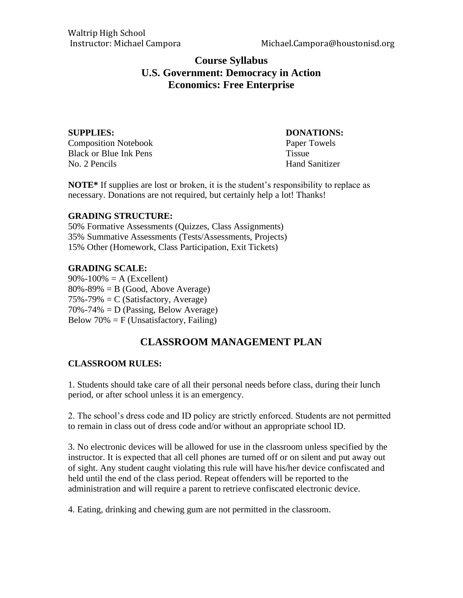## **Course Syllabus U.S. Government: Democracy in Action Economics: Free Enterprise**

**SUPPLIES: DONATIONS:** Composition Notebook Paper Towels Black or Blue Ink Pens Tissue No. 2 Pencils Hand Sanitizer

**NOTE\*** If supplies are lost or broken, it is the student's responsibility to replace as necessary. Donations are not required, but certainly help a lot! Thanks!

#### **GRADING STRUCTURE:**

50% Formative Assessments (Quizzes, Class Assignments) 35% Summative Assessments (Tests/Assessments, Projects) 15% Other (Homework, Class Participation, Exit Tickets)

#### **GRADING SCALE:**

 $90\% - 100\% = A$  (Excellent)  $80\% - 89\% = B$  (Good, Above Average)  $75\% - 79\% = C$  (Satisfactory, Average)  $70\% - 74\% = D$  (Passing, Below Average) Below  $70\% = F$  (Unsatisfactory, Failing)

# **CLASSROOM MANAGEMENT PLAN**

#### **CLASSROOM RULES:**

1. Students should take care of all their personal needs before class, during their lunch period, or after school unless it is an emergency.

2. The school's dress code and ID policy are strictly enforced. Students are not permitted to remain in class out of dress code and/or without an appropriate school ID.

3. No electronic devices will be allowed for use in the classroom unless specified by the instructor. It is expected that all cell phones are turned off or on silent and put away out of sight. Any student caught violating this rule will have his/her device confiscated and held until the end of the class period. Repeat offenders will be reported to the administration and will require a parent to retrieve confiscated electronic device.

4. Eating, drinking and chewing gum are not permitted in the classroom.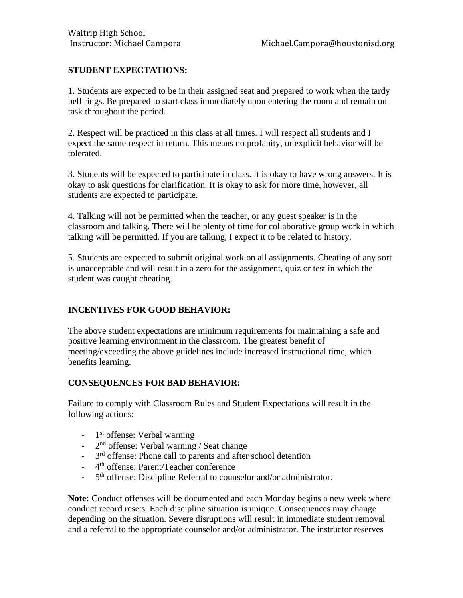### **STUDENT EXPECTATIONS:**

1. Students are expected to be in their assigned seat and prepared to work when the tardy bell rings. Be prepared to start class immediately upon entering the room and remain on task throughout the period.

2. Respect will be practiced in this class at all times. I will respect all students and I expect the same respect in return. This means no profanity, or explicit behavior will be tolerated.

3. Students will be expected to participate in class. It is okay to have wrong answers. It is okay to ask questions for clarification. It is okay to ask for more time, however, all students are expected to participate.

4. Talking will not be permitted when the teacher, or any guest speaker is in the classroom and talking. There will be plenty of time for collaborative group work in which talking will be permitted. If you are talking, I expect it to be related to history.

5. Students are expected to submit original work on all assignments. Cheating of any sort is unacceptable and will result in a zero for the assignment, quiz or test in which the student was caught cheating.

#### **INCENTIVES FOR GOOD BEHAVIOR:**

The above student expectations are minimum requirements for maintaining a safe and positive learning environment in the classroom. The greatest benefit of meeting/exceeding the above guidelines include increased instructional time, which benefits learning.

#### **CONSEQUENCES FOR BAD BEHAVIOR:**

Failure to comply with Classroom Rules and Student Expectations will result in the following actions:

- 1<sup>st</sup> offense: Verbal warning
- $-2<sup>nd</sup>$  offense: Verbal warning / Seat change
- <sup>-</sup> 3<sup>rd</sup> offense: Phone call to parents and after school detention
- 4<sup>th</sup> offense: Parent/Teacher conference
- $-5$ <sup>th</sup> offense: Discipline Referral to counselor and/or administrator.

**Note:** Conduct offenses will be documented and each Monday begins a new week where conduct record resets. Each discipline situation is unique. Consequences may change depending on the situation. Severe disruptions will result in immediate student removal and a referral to the appropriate counselor and/or administrator. The instructor reserves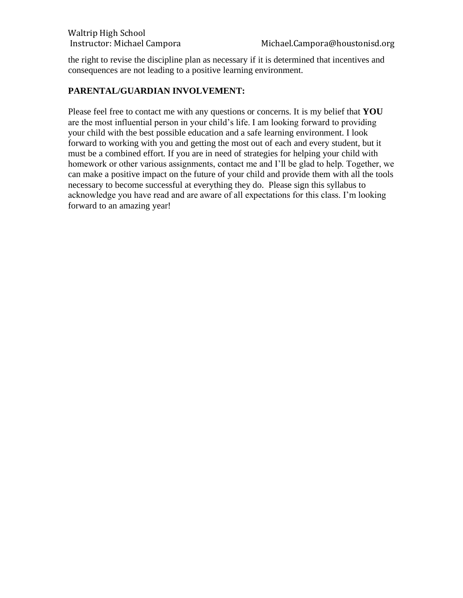the right to revise the discipline plan as necessary if it is determined that incentives and consequences are not leading to a positive learning environment.

#### **PARENTAL/GUARDIAN INVOLVEMENT:**

Please feel free to contact me with any questions or concerns. It is my belief that **YOU** are the most influential person in your child's life. I am looking forward to providing your child with the best possible education and a safe learning environment. I look forward to working with you and getting the most out of each and every student, but it must be a combined effort. If you are in need of strategies for helping your child with homework or other various assignments, contact me and I'll be glad to help. Together, we can make a positive impact on the future of your child and provide them with all the tools necessary to become successful at everything they do. Please sign this syllabus to acknowledge you have read and are aware of all expectations for this class. I'm looking forward to an amazing year!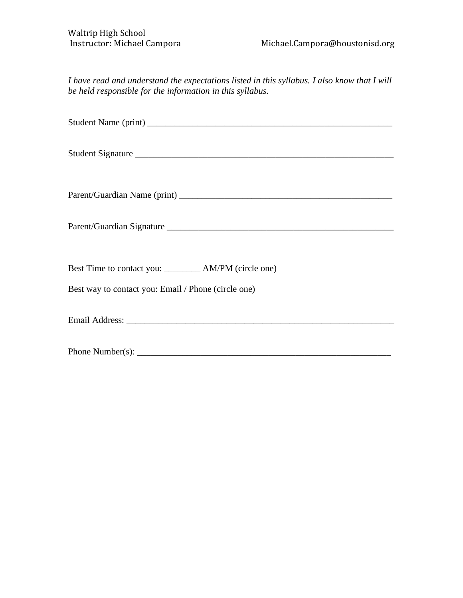*I have read and understand the expectations listed in this syllabus. I also know that I will be held responsible for the information in this syllabus.*

| Student Signature                                       |
|---------------------------------------------------------|
|                                                         |
|                                                         |
| Best Time to contact you: __________ AM/PM (circle one) |
| Best way to contact you: Email / Phone (circle one)     |
|                                                         |
|                                                         |